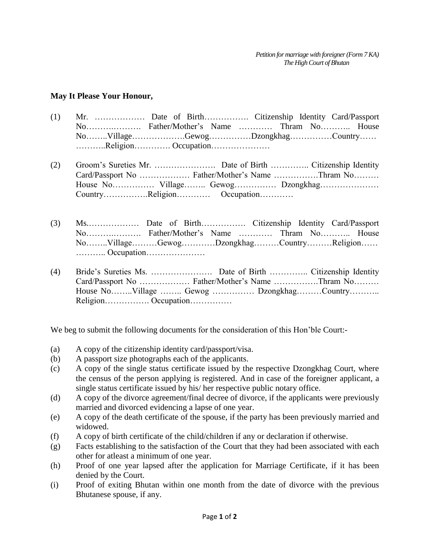## **May It Please Your Honour,**

- (1) Mr. ……………… Date of Birth……………. Citizenship Identity Card/Passport No……….………. Father/Mother's Name ………… Thram No……….. House No……..Village……………….Gewog……………Dzongkhag……………Country…… ………..Religion…………. Occupation…………………
- (2) Groom's Sureties Mr. …………………. Date of Birth ………….. Citizenship Identity Card/Passport No ……………… Father/Mother's Name …………….Thram No……… House No…………… Village…….. Gewog…………… Dzongkhag………………… Country…………….Religion………… Occupation…………
- (3) Ms.……………… Date of Birth……………. Citizenship Identity Card/Passport No……….………. Father/Mother's Name ………… Thram No……….. House No……..Village………Gewog…………Dzongkhag………Country………Religion…… ……….. Occupation…………………
- (4) Bride's Sureties Ms. …………………. Date of Birth ………….. Citizenship Identity Card/Passport No ……………… Father/Mother's Name …………….Thram No……… House No……..Village …….. Gewog …………… Dzongkhag………Country……….. Religion……………. Occupation……………

We beg to submit the following documents for the consideration of this Hon'ble Court:-

- (a) A copy of the citizenship identity card/passport/visa.
- (b) A passport size photographs each of the applicants.
- (c) A copy of the single status certificate issued by the respective Dzongkhag Court, where the census of the person applying is registered. And in case of the foreigner applicant, a single status certificate issued by his/ her respective public notary office.
- (d) A copy of the divorce agreement/final decree of divorce, if the applicants were previously married and divorced evidencing a lapse of one year.
- (e) A copy of the death certificate of the spouse, if the party has been previously married and widowed.
- (f) A copy of birth certificate of the child/children if any or declaration if otherwise.
- (g) Facts establishing to the satisfaction of the Court that they had been associated with each other for atleast a minimum of one year.
- (h) Proof of one year lapsed after the application for Marriage Certificate, if it has been denied by the Court.
- (i) Proof of exiting Bhutan within one month from the date of divorce with the previous Bhutanese spouse, if any.